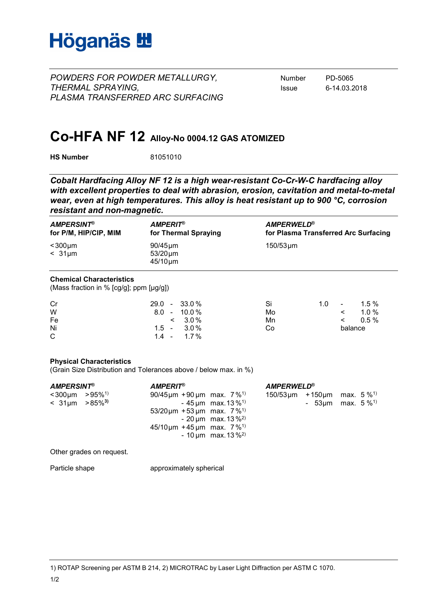

*POWDERS FOR POWDER METALLURGY,* Number PD-5065 *THERMAL SPRAYING,* Issue 6-14.03.2018 *PLASMA TRANSFERRED ARC SURFACING*

## **Co-HFA NF 12 Alloy-No 0004.12 GAS ATOMIZED**

**HS Number** 81051010

*Cobalt Hardfacing Alloy NF 12 is a high wear-resistant Co-Cr-W-C hardfacing alloy with excellent properties to deal with abrasion, erosion, cavitation and metal-to-metal wear, even at high temperatures. This alloy is heat resistant up to 900 °C, corrosion resistant and non-magnetic.*

| <b>AMPERSINT®</b><br>for P/M, HIP/CIP, MIM                                 |                                                 | <b>AMPERIT®</b><br>for Thermal Spraying |                  | <b>AMPERWELD®</b><br>for Plasma Transferred Arc Surfacing |                         |                     |  |
|----------------------------------------------------------------------------|-------------------------------------------------|-----------------------------------------|------------------|-----------------------------------------------------------|-------------------------|---------------------|--|
| $<$ 300 $\mu$ m<br>$< 31 \mu m$                                            | $90/45 \mu m$<br>$53/20 \mu m$<br>$45/10 \mu m$ |                                         | $150/53 \,\mu m$ |                                                           |                         |                     |  |
| <b>Chemical Characteristics</b><br>(Mass fraction in % [cg/g]; ppm [µg/g]) |                                                 |                                         |                  |                                                           |                         |                     |  |
| Cr<br>W                                                                    | 29.0<br>$\sim$<br>8.0                           | 33.0%<br>$10.0\%$<br>$\sim$             | Si<br>Mo         | 1.0                                                       | $\mathbf{r}$<br>$\prec$ | $1.5\%$<br>$1.0 \%$ |  |
| Fe                                                                         |                                                 | $3.0\%$<br>$\,<\,$                      | Mn               |                                                           | $\prec$                 | 0.5%                |  |
| Ni                                                                         | $1.5 -$                                         | $3.0\%$                                 | Co               | balance                                                   |                         |                     |  |
| C                                                                          | $1.4 -$                                         | $1.7\%$                                 |                  |                                                           |                         |                     |  |

### **Physical Characteristics**

(Grain Size Distribution and Tolerances above / below max. in %)

| <b>AMPERSINT®</b>                                       |  | <b>AMPERIT®</b>                                                                                        | <b>AMPERWELD®</b>                                                            |  |  |                                                                                                 |
|---------------------------------------------------------|--|--------------------------------------------------------------------------------------------------------|------------------------------------------------------------------------------|--|--|-------------------------------------------------------------------------------------------------|
| $<$ 300µm >95% <sup>1)</sup><br>$< 31 \mu m > 85\%^{3}$ |  | 90/45 $\mu$ m + 90 $\mu$ m max. 7 % <sup>1)</sup><br>$53/20 \mu m + 53 \mu m$ max. $7\%$ <sup>1)</sup> | - 45 $\mu$ m max. 13 % <sup>1)</sup><br>- 20 $\mu$ m max. 13 % <sup>2)</sup> |  |  | $150/53 \,\mathrm{\upmu m}$ +150 \, max. 5 % <sup>1)</sup><br>- 53 $\mu$ m max. 5 $\frac{1}{2}$ |
|                                                         |  | $45/10 \mu m + 45 \mu m$ max. 7% <sup>1)</sup>                                                         | - 10 $\mu$ m max. 13 % <sup>2)</sup>                                         |  |  |                                                                                                 |

Other grades on request.

Particle shape approximately spherical